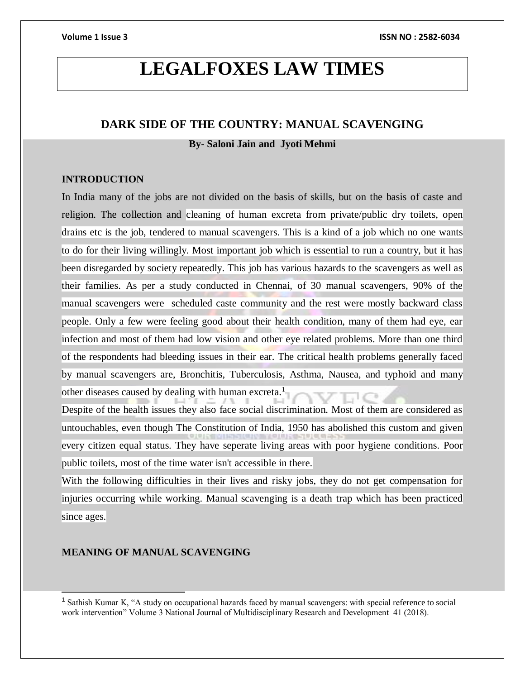# **LEGALFOXES LAW TIMES**

# **DARK SIDE OF THE COUNTRY: MANUAL SCAVENGING**

**By- Saloni Jain and Jyoti Mehmi**

# **INTRODUCTION**

In India many of the jobs are not divided on the basis of skills, but on the basis of caste and religion. The collection and cleaning of human excreta from private/public dry toilets, open drains etc is the job, tendered to manual scavengers. This is a kind of a job which no one wants to do for their living willingly. Most important job which is essential to run a country, but it has been disregarded by society repeatedly. This job has various hazards to the scavengers as well as their families. As per a study conducted in Chennai, of 30 manual scavengers, 90% of the manual scavengers were scheduled caste community and the rest were mostly backward class people. Only a few were feeling good about their health condition, many of them had eye, ear infection and most of them had low vision and other eye related problems. More than one third of the respondents had bleeding issues in their ear. The critical health problems generally faced by manual scavengers are, Bronchitis, Tuberculosis, Asthma, Nausea, and typhoid and many other diseases caused by dealing with human excreta.<sup>1</sup>

Despite of the health issues they also face social discrimination. Most of them are considered as untouchables, even though The Constitution of India, 1950 has abolished this custom and given every citizen equal status. They have seperate living areas with poor hygiene conditions. Poor public toilets, most of the time water isn't accessible in there.

With the following difficulties in their lives and risky jobs, they do not get compensation for injuries occurring while working. Manual scavenging is a death trap which has been practiced since ages.

# **MEANING OF MANUAL SCAVENGING**

<sup>&</sup>lt;sup>1</sup> Sathish Kumar K, "A study on occupational hazards faced by manual scavengers: with special reference to social work intervention" Volume 3 National Journal of Multidisciplinary Research and Development 41 (2018).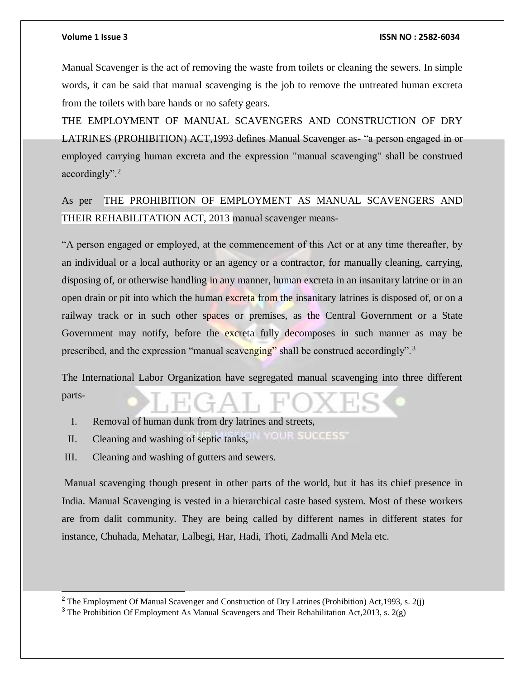Manual Scavenger is the act of removing the waste from toilets or cleaning the sewers. In simple words, it can be said that manual scavenging is the job to remove the untreated human excreta from the toilets with bare hands or no safety gears.

THE EMPLOYMENT OF MANUAL SCAVENGERS AND CONSTRUCTION OF DRY LATRINES (PROHIBITION) ACT,1993 defines Manual Scavenger as**-** "a person engaged in or employed carrying human excreta and the expression "manual scavenging" shall be construed accordingly".<sup>2</sup>

As per THE PROHIBITION OF EMPLOYMENT AS MANUAL SCAVENGERS AND THEIR REHABILITATION ACT, 2013 manual scavenger means-

"A person engaged or employed, at the commencement of this Act or at any time thereafter, by an individual or a local authority or an agency or a contractor, for manually cleaning, carrying, disposing of, or otherwise handling in any manner, human excreta in an insanitary latrine or in an open drain or pit into which the human excreta from the insanitary latrines is disposed of, or on a railway track or in such other spaces or premises, as the Central Government or a State Government may notify, before the excreta fully decomposes in such manner as may be prescribed, and the expression "manual scavenging" shall be construed accordingly".<sup>3</sup>

The International Labor Organization have segregated manual scavenging into three different parts-

I. Removal of human dunk from dry latrines and streets,

OUR SUCCESS' II. Cleaning and washing of septic tanks,

III. Cleaning and washing of gutters and sewers.

 $\overline{\phantom{a}}$ 

Manual scavenging though present in other parts of the world, but it has its chief presence in India. Manual Scavenging is vested in a hierarchical caste based system. Most of these workers are from dalit community. They are being called by different names in different states for instance, Chuhada, Mehatar, Lalbegi, Har, Hadi, Thoti, Zadmalli And Mela etc.

<sup>2</sup> The Employment Of Manual Scavenger and Construction of Dry Latrines (Prohibition) Act,1993, s. 2(j)

 $3$  The Prohibition Of Employment As Manual Scavengers and Their Rehabilitation Act, 2013, s. 2(g)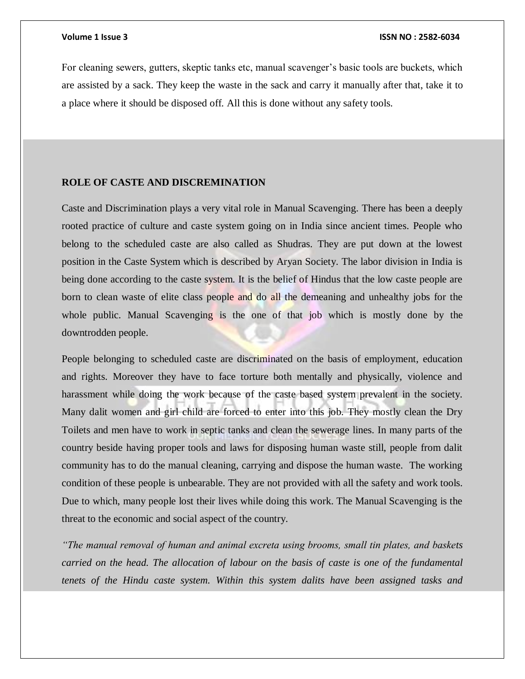### **Volume 1 Issue 3 ISSN NO : 2582-6034**

For cleaning sewers, gutters, skeptic tanks etc, manual scavenger's basic tools are buckets, which are assisted by a sack. They keep the waste in the sack and carry it manually after that, take it to a place where it should be disposed off. All this is done without any safety tools.

### **ROLE OF CASTE AND DISCREMINATION**

Caste and Discrimination plays a very vital role in Manual Scavenging. There has been a deeply rooted practice of culture and caste system going on in India since ancient times. People who belong to the scheduled caste are also called as Shudras. They are put down at the lowest position in the Caste System which is described by Aryan Society. The labor division in India is being done according to the caste system. It is the belief of Hindus that the low caste people are born to clean waste of elite class people and do all the demeaning and unhealthy jobs for the whole public. Manual Scavenging is the one of that job which is mostly done by the downtrodden people.

People belonging to scheduled caste are discriminated on the basis of employment, education and rights. Moreover they have to face torture both mentally and physically, violence and harassment while doing the work because of the caste based system prevalent in the society. Many dalit women and girl child are forced to enter into this job. They mostly clean the Dry Toilets and men have to work in septic tanks and clean the sewerage lines. In many parts of the country beside having proper tools and laws for disposing human waste still, people from dalit community has to do the manual cleaning, carrying and dispose the human waste. The working condition of these people is unbearable. They are not provided with all the safety and work tools. Due to which, many people lost their lives while doing this work. The Manual Scavenging is the threat to the economic and social aspect of the country.

*"The manual removal of human and animal excreta using brooms, small tin plates, and baskets carried on the head. The allocation of labour on the basis of caste is one of the fundamental tenets of the Hindu caste system. Within this system dalits have been assigned tasks and*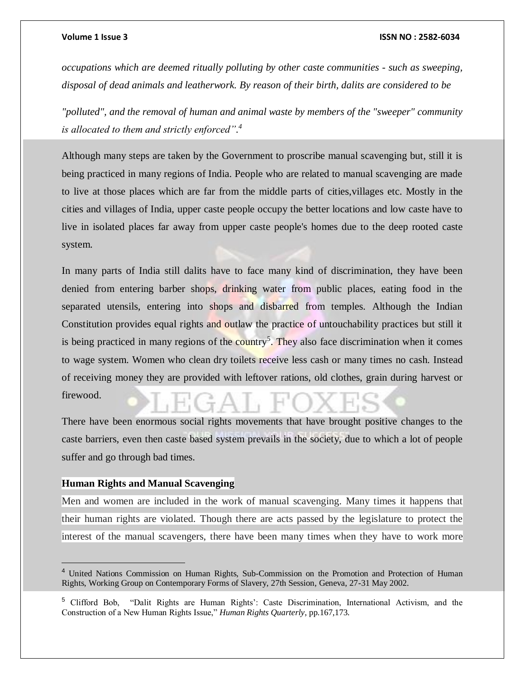### **Volume 1 Issue 3 ISSN NO : 2582-6034**

*occupations which are deemed ritually polluting by other caste communities - such as sweeping, disposal of dead animals and leatherwork. By reason of their birth, dalits are considered to be*

*"polluted", and the removal of human and animal waste by members of the "sweeper" community is allocated to them and strictly enforced". 4*

Although many steps are taken by the Government to proscribe manual scavenging but, still it is being practiced in many regions of India. People who are related to manual scavenging are made to live at those places which are far from the middle parts of cities,villages etc. Mostly in the cities and villages of India, upper caste people occupy the better locations and low caste have to live in isolated places far away from upper caste people's homes due to the deep rooted caste system.

In many parts of India still dalits have to face many kind of discrimination, they have been denied from entering barber shops, drinking water from public places, eating food in the separated utensils, entering into shops and disbarred from temples. Although the Indian Constitution provides equal rights and outlaw the practice of untouchability practices but still it is being practiced in many regions of the country<sup>5</sup>. They also face discrimination when it comes to wage system. Women who clean dry toilets receive less cash or many times no cash. Instead of receiving money they are provided with leftover rations, old clothes, grain during harvest or firewood.

There have been enormous social rights movements that have brought positive changes to the caste barriers, even then caste based system prevails in the society, due to which a lot of people suffer and go through bad times.

### **Human Rights and Manual Scavenging**

 $\overline{a}$ 

Men and women are included in the work of manual scavenging. Many times it happens that their human rights are violated. Though there are acts passed by the legislature to protect the interest of the manual scavengers, there have been many times when they have to work more

<sup>4</sup> United Nations Commission on Human Rights, Sub-Commission on the Promotion and Protection of Human Rights, Working Group on Contemporary Forms of Slavery, 27th Session, Geneva, 27-31 May 2002.

<sup>5</sup> Clifford Bob, "Dalit Rights are Human Rights': Caste Discrimination, International Activism, and the Construction of a New Human Rights Issue," *Human Rights Quarterly*, pp.167,173.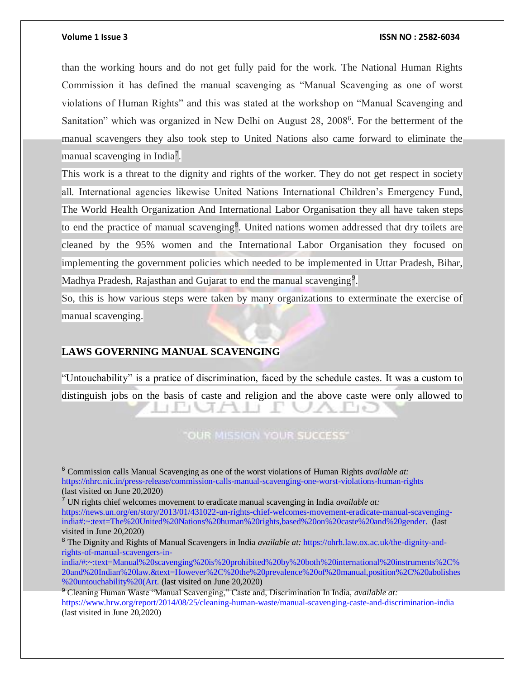$\overline{a}$ 

### **Volume 1 Issue 3 ISSN NO : 2582-6034**

than the working hours and do not get fully paid for the work. The National Human Rights Commission it has defined the manual scavenging as "Manual Scavenging as one of worst violations of Human Rights" and this was stated at the workshop on "Manual Scavenging and Sanitation" which was organized in New Delhi on August 28, 2008<sup>6</sup>. For the betterment of the manual scavengers they also took step to United Nations also came forward to eliminate the manual scavenging in India<sup>7</sup>.

This work is a threat to the dignity and rights of the worker. They do not get respect in society all. International agencies likewise United Nations International Children's Emergency Fund, The World Health Organization And International Labor Organisation they all have taken steps to end the practice of manual scavenging<sup>8</sup>. United nations women addressed that dry toilets are cleaned by the 95% women and the International Labor Organisation they focused on implementing the government policies which needed to be implemented in Uttar Pradesh, Bihar, Madhya Pradesh, Rajasthan and Gujarat to end the manual scavenging<sup>9</sup>.

So, this is how various steps were taken by many organizations to exterminate the exercise of manual scavenging.

# **LAWS GOVERNING MANUAL SCAVENGING**

"Untouchability" is a pratice of discrimination, faced by the schedule castes. It was a custom to distinguish jobs on the basis of caste and religion and the above caste were only allowed to

# **"OUR MISSION YOUR SUCCESS"**

<sup>6</sup> Commission calls Manual Scavenging as one of the worst violations of Human Rights *available at:*  <https://nhrc.nic.in/press-release/commission-calls-manual-scavenging-one-worst-violations-human-rights> (last visited on June 20,2020)

<sup>7</sup> UN rights chief welcomes movement to eradicate manual scavenging in India *available at:*  [https://news.un.org/en/story/2013/01/431022-un-rights-chief-welcomes-movement-eradicate-manual-scavenging](https://news.un.org/en/story/2013/01/431022-un-rights-chief-welcomes-movement-eradicate-manual-scavenging-india#:~:text=The%20United%20Nations%20human%20rights,based%20on%20caste%20and%20gender.)[india#:~:text=The%20United%20Nations%20human%20rights,based%20on%20caste%20and%20gender.](https://news.un.org/en/story/2013/01/431022-un-rights-chief-welcomes-movement-eradicate-manual-scavenging-india#:~:text=The%20United%20Nations%20human%20rights,based%20on%20caste%20and%20gender.) (last visited in June 20,2020)

<sup>8</sup> The Dignity and Rights of Manual Scavengers in India *available at:* [https://ohrh.law.ox.ac.uk/the-dignity-and](https://ohrh.law.ox.ac.uk/the-dignity-and-rights-of-manual-scavengers-in-india/#:~:text=Manual%20scavenging%20is%20prohibited%20by%20both%20international%20instruments%2C%20and%20Indian%20law.&text=However%2C%20the%20prevalence%20of%20manual,position%2C%20abolishes%20untouchability%20(Art.)[rights-of-manual-scavengers-in-](https://ohrh.law.ox.ac.uk/the-dignity-and-rights-of-manual-scavengers-in-india/#:~:text=Manual%20scavenging%20is%20prohibited%20by%20both%20international%20instruments%2C%20and%20Indian%20law.&text=However%2C%20the%20prevalence%20of%20manual,position%2C%20abolishes%20untouchability%20(Art.)

[india/#:~:text=Manual%20scavenging%20is%20prohibited%20by%20both%20international%20instruments%2C%](https://ohrh.law.ox.ac.uk/the-dignity-and-rights-of-manual-scavengers-in-india/#:~:text=Manual%20scavenging%20is%20prohibited%20by%20both%20international%20instruments%2C%20and%20Indian%20law.&text=However%2C%20the%20prevalence%20of%20manual,position%2C%20abolishes%20untouchability%20(Art.) [20and%20Indian%20law.&text=However%2C%20the%20prevalence%20of%20manual,position%2C%20abolishes](https://ohrh.law.ox.ac.uk/the-dignity-and-rights-of-manual-scavengers-in-india/#:~:text=Manual%20scavenging%20is%20prohibited%20by%20both%20international%20instruments%2C%20and%20Indian%20law.&text=However%2C%20the%20prevalence%20of%20manual,position%2C%20abolishes%20untouchability%20(Art.) [%20untouchability%20\(Art.](https://ohrh.law.ox.ac.uk/the-dignity-and-rights-of-manual-scavengers-in-india/#:~:text=Manual%20scavenging%20is%20prohibited%20by%20both%20international%20instruments%2C%20and%20Indian%20law.&text=However%2C%20the%20prevalence%20of%20manual,position%2C%20abolishes%20untouchability%20(Art.) (last visited on June 20,2020)

<sup>9</sup> Cleaning Human Waste "Manual Scavenging," Caste and, Discrimination In India, *available at:*  <https://www.hrw.org/report/2014/08/25/cleaning-human-waste/manual-scavenging-caste-and-discrimination-india> (last visited in June 20,2020)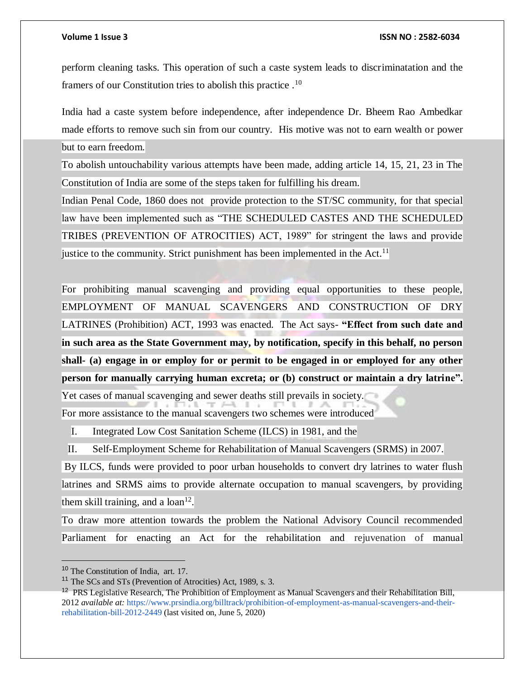perform cleaning tasks. This operation of such a caste system leads to discriminatation and the framers of our Constitution tries to abolish this practice .<sup>10</sup>

India had a caste system before independence, after independence Dr. Bheem Rao Ambedkar made efforts to remove such sin from our country. His motive was not to earn wealth or power but to earn freedom.

To abolish untouchability various attempts have been made, adding article 14, 15, 21, 23 in The Constitution of India are some of the steps taken for fulfilling his dream.

Indian Penal Code, 1860 does not provide protection to the ST/SC community, for that special law have been implemented such as "THE SCHEDULED CASTES AND THE SCHEDULED TRIBES (PREVENTION OF ATROCITIES) ACT, 1989" for stringent the laws and provide justice to the community. Strict punishment has been implemented in the Act.<sup>11</sup>

For prohibiting manual scavenging and providing equal opportunities to these people, EMPLOYMENT OF MANUAL SCAVENGERS AND CONSTRUCTION OF DRY LATRINES (Prohibition) ACT, 1993 was enacted. The Act says- **"Effect from such date and in such area as the State Government may, by notification, specify in this behalf, no person shall- (a) engage in or employ for or permit to be engaged in or employed for any other person for manually carrying human excreta; or (b) construct or maintain a dry latrine".**

Yet cases of manual scavenging and sewer deaths still prevails in society. For more assistance to the manual scavengers two schemes were introduced

I. Integrated Low Cost Sanitation Scheme (ILCS) in 1981, and the

II. Self-Employment Scheme for Rehabilitation of Manual Scavengers (SRMS) in 2007.

By ILCS, funds were provided to poor urban households to convert dry latrines to water flush latrines and SRMS aims to provide alternate occupation to manual scavengers, by providing them skill training, and a  $\alpha$ <sup>12</sup>.

To draw more attention towards the problem the National Advisory Council recommended Parliament for enacting an Act for the rehabilitation and rejuvenation of manual

<sup>10</sup> The Constitution of India, art. 17.

<sup>11</sup> The SCs and STs (Prevention of Atrocities) Act, 1989, s. 3.

<sup>&</sup>lt;sup>12</sup> PRS Legislative Research, The Prohibition of Employment as Manual Scavengers and their Rehabilitation Bill, 2012 *available at:* [https://www.prsindia.org/billtrack/prohibition-of-employment-as-manual-scavengers-and-their](https://www.prsindia.org/billtrack/prohibition-of-employment-as-manual-scavengers-and-their-rehabilitation-bill-2012-2449)[rehabilitation-bill-2012-2449](https://www.prsindia.org/billtrack/prohibition-of-employment-as-manual-scavengers-and-their-rehabilitation-bill-2012-2449) (last visited on, June 5, 2020)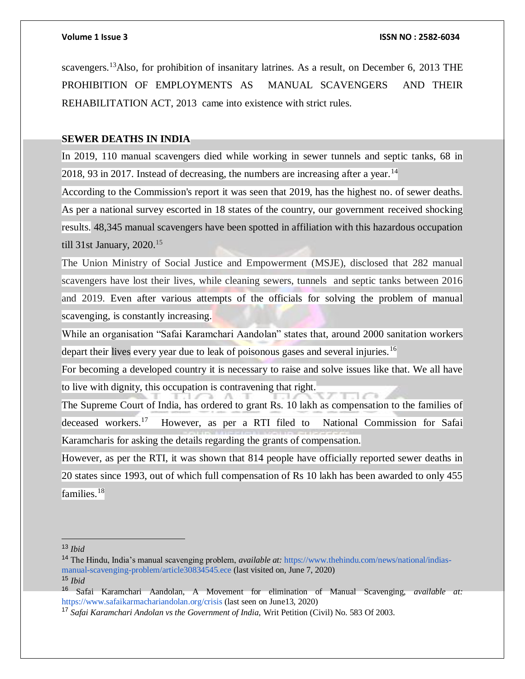scavengers.<sup>13</sup>Also, for prohibition of insanitary latrines. As a result, on December 6, 2013 THE PROHIBITION OF EMPLOYMENTS AS MANUAL SCAVENGERS AND THEIR REHABILITATION ACT, 2013 came into existence with strict rules.

# **SEWER DEATHS IN INDIA**

In 2019, 110 manual scavengers died while working in sewer tunnels and septic tanks, 68 in  $2018$ , 93 in 2017. Instead of decreasing, the numbers are increasing after a year.<sup>14</sup>

According to the Commission's report it was seen that 2019, has the highest no. of sewer deaths. As per a national survey escorted in 18 states of the country, our government received shocking results. 48,345 manual scavengers have been spotted in affiliation with this hazardous occupation till 31st January, 2020.<sup>15</sup>

The Union Ministry of Social Justice and Empowerment (MSJE), disclosed that 282 manual scavengers have lost their lives, while cleaning sewers, tunnels and septic tanks between 2016 and 2019. Even after various attempts of the officials for solving the problem of manual scavenging, is constantly increasing.

While an organisation "Safai Karamchari Aandolan" states that, around 2000 sanitation workers depart their lives every year due to leak of poisonous gases and several injuries.<sup>16</sup>

For becoming a developed country it is necessary to raise and solve issues like that. We all have to live with dignity, this occupation is contravening that right.

The Supreme Court of India, has ordered to grant Rs. 10 lakh as compensation to the families of deceased workers.<sup>17</sup> However, as per a RTI filed to National Commission for Safai Karamcharis for asking the details regarding the grants of compensation.

However, as per the RTI, it was shown that 814 people have officially reported sewer deaths in 20 states since 1993, out of which full compensation of Rs 10 lakh has been awarded to only 455 families. $18$ 

<sup>13</sup> *Ibid*

<sup>14</sup> The Hindu, India's manual scavenging problem, *available at:* [https://www.thehindu.com/news/national/indias](https://www.thehindu.com/news/national/indias-manual-scavenging-problem/article30834545.ece)[manual-scavenging-problem/article30834545.ece](https://www.thehindu.com/news/national/indias-manual-scavenging-problem/article30834545.ece) (last visited on, June 7, 2020) <sup>15</sup> *Ibid*

<sup>16</sup> Safai Karamchari Aandolan, A Movement for elimination of Manual Scavenging, *available at:* <https://www.safaikarmachariandolan.org/crisis> (last seen on June13, 2020)

<sup>17</sup> *Safai Karamchari Andolan vs the Government of India,* Writ Petition (Civil) No. 583 Of 2003.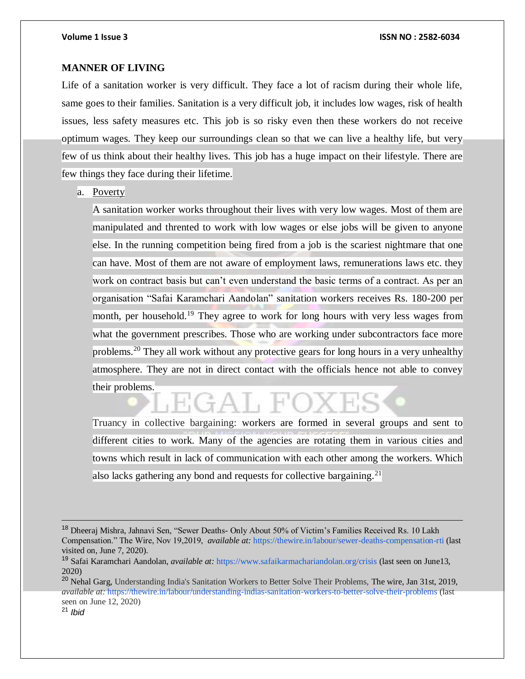## **MANNER OF LIVING**

Life of a sanitation worker is very difficult. They face a lot of racism during their whole life, same goes to their families. Sanitation is a very difficult job, it includes low wages, risk of health issues, less safety measures etc. This job is so risky even then these workers do not receive optimum wages. They keep our surroundings clean so that we can live a healthy life, but very few of us think about their healthy lives. This job has a huge impact on their lifestyle. There are few things they face during their lifetime.

a. Poverty

A sanitation worker works throughout their lives with very low wages. Most of them are manipulated and thrented to work with low wages or else jobs will be given to anyone else. In the running competition being fired from a job is the scariest nightmare that one can have. Most of them are not aware of employment laws, remunerations laws etc. they work on contract basis but can't even understand the basic terms of a contract. As per an organisation "Safai Karamchari Aandolan" sanitation workers receives Rs. 180-200 per month, per household.<sup>19</sup> They agree to work for long hours with very less wages from what the government prescribes. Those who are working under subcontractors face more problems.<sup>20</sup> They all work without any protective gears for long hours in a very unhealthy atmosphere. They are not in direct contact with the officials hence not able to convey their problems.

# Truancy in collective bargaining: workers are formed in several groups and sent to different cities to work. Many of the agencies are rotating them in various cities and towns which result in lack of communication with each other among the workers. Which

also lacks gathering any bond and requests for collective bargaining.<sup>21</sup>

<sup>&</sup>lt;sup>18</sup> Dheeraj Mishra, Jahnavi Sen, "Sewer Deaths- Only About 50% of Victim's Families Received Rs. 10 Lakh Compensation." The Wire, Nov 19,2019, *available at:* <https://thewire.in/labour/sewer-deaths-compensation-rti> (last visited on, June 7, 2020).

<sup>19</sup> Safai Karamchari Aandolan, *available at:* <https://www.safaikarmachariandolan.org/crisis> (last seen on June13, 2020)

<sup>&</sup>lt;sup>20</sup> Nehal Garg, Understanding India's Sanitation Workers to Better Solve Their Problems, The wire, Jan 31st, 2019, *available at:* <https://thewire.in/labour/understanding-indias-sanitation-workers-to-better-solve-their-problems> (last seen on June 12, 2020)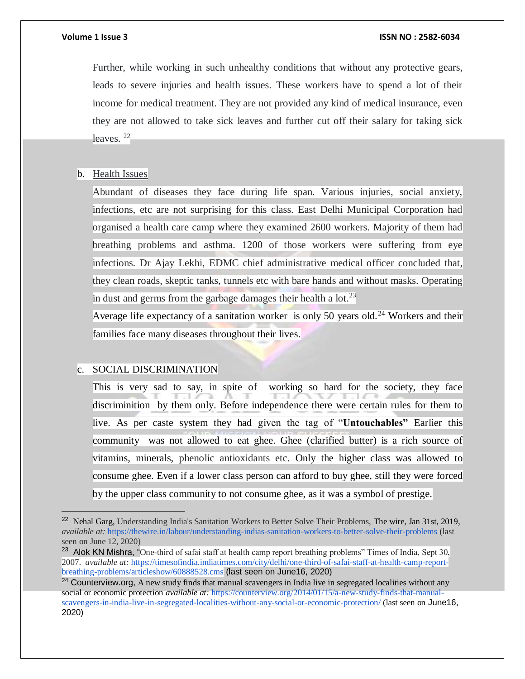Further, while working in such unhealthy conditions that without any protective gears, leads to severe injuries and health issues. These workers have to spend a lot of their income for medical treatment. They are not provided any kind of medical insurance, even they are not allowed to take sick leaves and further cut off their salary for taking sick leaves.  $22$ 

## b. Health Issues

Abundant of diseases they face during life span. Various injuries, social anxiety, infections, etc are not surprising for this class. East Delhi Municipal Corporation had organised a health care camp where they examined 2600 workers. Majority of them had breathing problems and asthma. 1200 of those workers were suffering from eye infections. Dr Ajay Lekhi, EDMC chief administrative medical officer concluded that, they clean roads, skeptic tanks, tunnels etc with bare hands and without masks. Operating in dust and germs from the garbage damages their health a  $\cot^{23}$ 

Average life expectancy of a sanitation worker is only  $50$  years old.<sup>24</sup> Workers and their families face many diseases throughout their lives.

# c. SOCIAL DISCRIMINATION

 $\overline{a}$ 

This is very sad to say, in spite of working so hard for the society, they face discriminition by them only. Before independence there were certain rules for them to live. As per caste system they had given the tag of "**Untouchables"** Earlier this community was not allowed to eat ghee. Ghee (clarified butter) is a rich source of vitamins, minerals, phenolic antioxidants etc. Only the higher class was allowed to consume ghee. Even if a lower class person can afford to buy ghee, still they were forced by the upper class community to not consume ghee, as it was a symbol of prestige.

<sup>&</sup>lt;sup>22</sup> Nehal Garg, Understanding India's Sanitation Workers to Better Solve Their Problems, The wire, Jan 31st, 2019, *available at:* <https://thewire.in/labour/understanding-indias-sanitation-workers-to-better-solve-their-problems> (last seen on June 12, 2020)

<sup>&</sup>lt;sup>23</sup> Alok KN Mishra, "One-third of safai staff at health camp report breathing problems" Times of India, Sept 30, 2007. *available at:* [https://timesofindia.indiatimes.com/city/delhi/one-third-of-safai-staff-at-health-camp-report](https://timesofindia.indiatimes.com/city/delhi/one-third-of-safai-staff-at-health-camp-report-breathing-problems/articleshow/60888528.cms)[breathing-problems/articleshow/60888528.cms](https://timesofindia.indiatimes.com/city/delhi/one-third-of-safai-staff-at-health-camp-report-breathing-problems/articleshow/60888528.cms) (last seen on June16, 2020)

<sup>&</sup>lt;sup>24</sup> Counterview.org, A new study finds that manual scavengers in India live in segregated localities without any social or economic protection *available at:* [https://counterview.org/2014/01/15/a-new-study-finds-that-manual](https://counterview.org/2014/01/15/a-new-study-finds-that-manual-scavengers-in-india-live-in-segregated-localities-without-any-social-or-economic-protection/)[scavengers-in-india-live-in-segregated-localities-without-any-social-or-economic-protection/](https://counterview.org/2014/01/15/a-new-study-finds-that-manual-scavengers-in-india-live-in-segregated-localities-without-any-social-or-economic-protection/) (last seen on June16, 2020)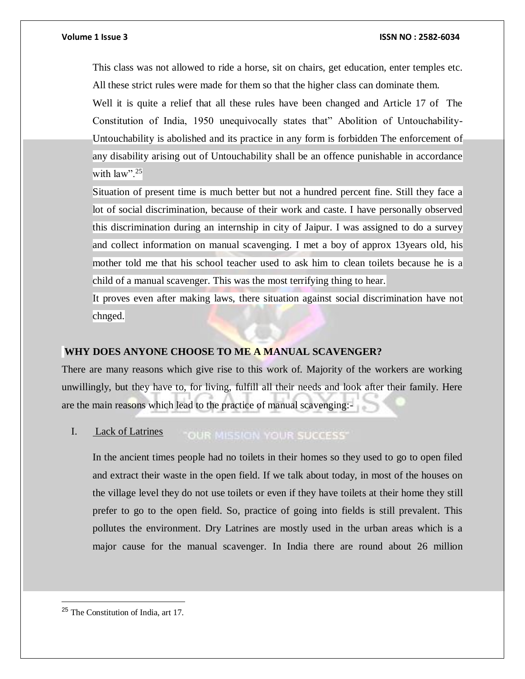This class was not allowed to ride a horse, sit on chairs, get education, enter temples etc. All these strict rules were made for them so that the higher class can dominate them. Well it is quite a relief that all these rules have been changed and Article 17 of The Constitution of India, 1950 unequivocally states that" Abolition of Untouchability-Untouchability is abolished and its practice in any form is forbidden The enforcement of any disability arising out of Untouchability shall be an offence punishable in accordance with  $law$ ".<sup>25</sup>

Situation of present time is much better but not a hundred percent fine. Still they face a lot of social discrimination, because of their work and caste. I have personally observed this discrimination during an internship in city of Jaipur. I was assigned to do a survey and collect information on manual scavenging. I met a boy of approx 13years old, his mother told me that his school teacher used to ask him to clean toilets because he is a child of a manual scavenger. This was the most terrifying thing to hear.

It proves even after making laws, there situation against social discrimination have not chnged.

# **WHY DOES ANYONE CHOOSE TO ME A MANUAL SCAVENGER?**

There are many reasons which give rise to this work of. Majority of the workers are working unwillingly, but they have to, for living, fulfill all their needs and look after their family. Here are the main reasons which lead to the practice of manual scavenging:-

I. Lack of Latrines "OUR MISSION YOUR SUCCESS"

In the ancient times people had no toilets in their homes so they used to go to open filed and extract their waste in the open field. If we talk about today, in most of the houses on the village level they do not use toilets or even if they have toilets at their home they still prefer to go to the open field. So, practice of going into fields is still prevalent. This pollutes the environment. Dry Latrines are mostly used in the urban areas which is a major cause for the manual scavenger. In India there are round about 26 million

<sup>25</sup> The Constitution of India, art 17.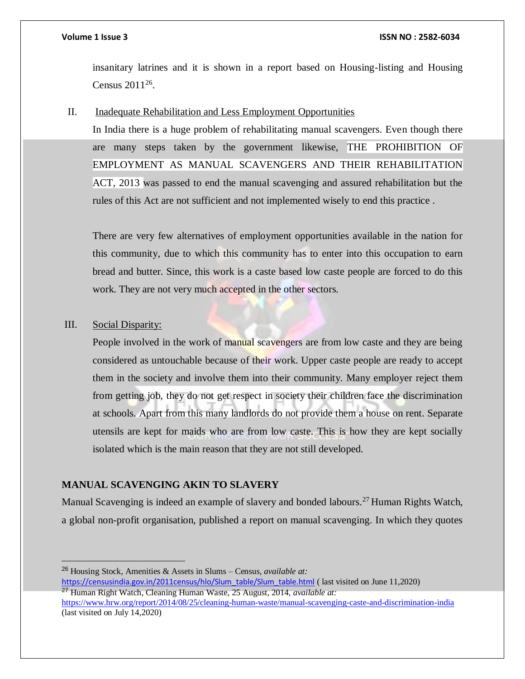insanitary latrines and it is shown in a report based on Housing-listing and Housing Census  $2011^{26}$ .

II. Inadequate Rehabilitation and Less Employment Opportunities

In India there is a huge problem of rehabilitating manual scavengers. Even though there are many steps taken by the government likewise, THE PROHIBITION OF EMPLOYMENT AS MANUAL SCAVENGERS AND THEIR REHABILITATION ACT, 2013 was passed to end the manual scavenging and assured rehabilitation but the rules of this Act are not sufficient and not implemented wisely to end this practice .

There are very few alternatives of employment opportunities available in the nation for this community, due to which this community has to enter into this occupation to earn bread and butter. Since, this work is a caste based low caste people are forced to do this work. They are not very much accepted in the other sectors.

III. Social Disparity:

 $\overline{a}$ 

People involved in the work of manual scavengers are from low caste and they are being considered as untouchable because of their work. Upper caste people are ready to accept them in the society and involve them into their community. Many employer reject them from getting job, they do not get respect in society their children face the discrimination at schools. Apart from this many landlords do not provide them a house on rent. Separate utensils are kept for maids who are from low caste. This is how they are kept socially isolated which is the main reason that they are not still developed.

## **MANUAL SCAVENGING AKIN TO SLAVERY**

Manual Scavenging is indeed an example of slavery and bonded labours.<sup>27</sup> Human Rights Watch, a global non-profit organisation, published a report on manual scavenging. In which they quotes

[https://censusindia.gov.in/2011census/hlo/Slum\\_table/Slum\\_table.html](https://censusindia.gov.in/2011census/hlo/Slum_table/Slum_table.html) ( last visited on June 11,2020) <sup>27</sup> Human Right Watch, Cleaning Human Waste, 25 August, 2014, *available at:*

<sup>26</sup> Housing Stock, Amenities & Assets in Slums – Census, *available at:* 

<https://www.hrw.org/report/2014/08/25/cleaning-human-waste/manual-scavenging-caste-and-discrimination-india> (last visited on July 14,2020)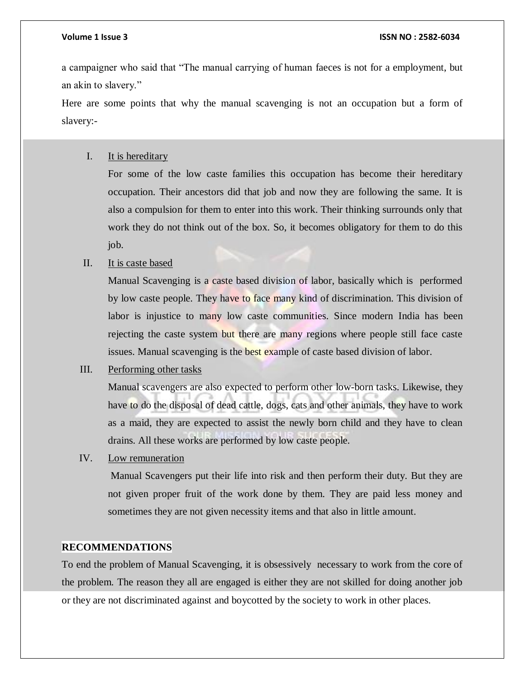a campaigner who said that "The manual carrying of human faeces is not for a employment, but an akin to slavery."

Here are some points that why the manual scavenging is not an occupation but a form of slavery:-

# I. It is hereditary

For some of the low caste families this occupation has become their hereditary occupation. Their ancestors did that job and now they are following the same. It is also a compulsion for them to enter into this work. Their thinking surrounds only that work they do not think out of the box. So, it becomes obligatory for them to do this job.

### II. It is caste based

Manual Scavenging is a caste based division of labor, basically which is performed by low caste people. They have to face many kind of discrimination. This division of labor is injustice to many low caste communities. Since modern India has been rejecting the caste system but there are many regions where people still face caste issues. Manual scavenging is the best example of caste based division of labor.

# III. Performing other tasks

Manual scavengers are also expected to perform other low-born tasks. Likewise, they have to do the disposal of dead cattle, dogs, cats and other animals, they have to work as a maid, they are expected to assist the newly born child and they have to clean drains. All these works are performed by low caste people.

IV. Low remuneration

Manual Scavengers put their life into risk and then perform their duty. But they are not given proper fruit of the work done by them. They are paid less money and sometimes they are not given necessity items and that also in little amount.

# **RECOMMENDATIONS**

To end the problem of Manual Scavenging, it is obsessively necessary to work from the core of the problem. The reason they all are engaged is either they are not skilled for doing another job or they are not discriminated against and boycotted by the society to work in other places.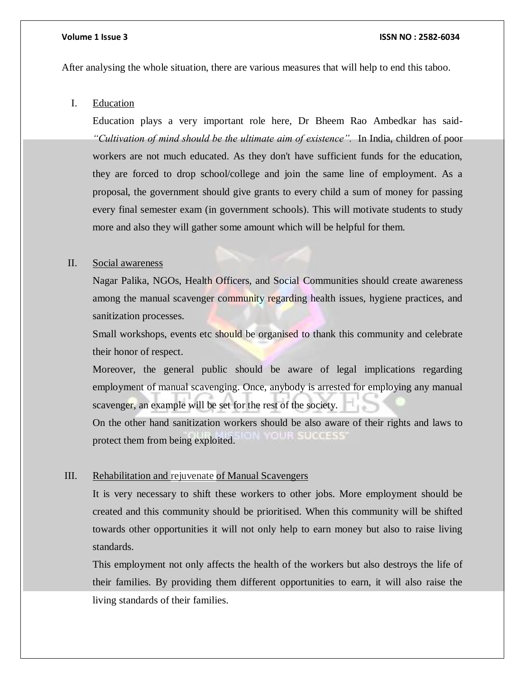After analysing the whole situation, there are various measures that will help to end this taboo.

# I. Education

Education plays a very important role here, Dr Bheem Rao Ambedkar has said- *"Cultivation of mind should be the ultimate aim of existence".* In India, children of poor workers are not much educated. As they don't have sufficient funds for the education, they are forced to drop school/college and join the same line of employment. As a proposal, the government should give grants to every child a sum of money for passing every final semester exam (in government schools). This will motivate students to study more and also they will gather some amount which will be helpful for them.

### II. Social awareness

Nagar Palika, NGOs, Health Officers, and Social Communities should create awareness among the manual scavenger community regarding health issues, hygiene practices, and sanitization processes.

Small workshops, events etc should be organised to thank this community and celebrate their honor of respect.

Moreover, the general public should be aware of legal implications regarding employment of manual scavenging. Once, anybody is arrested for employing any manual scavenger, an example will be set for the rest of the society.

On the other hand sanitization workers should be also aware of their rights and laws to protect them from being exploited.

# III. Rehabilitation and rejuvenate of Manual Scavengers

It is very necessary to shift these workers to other jobs. More employment should be created and this community should be prioritised. When this community will be shifted towards other opportunities it will not only help to earn money but also to raise living standards.

This employment not only affects the health of the workers but also destroys the life of their families. By providing them different opportunities to earn, it will also raise the living standards of their families.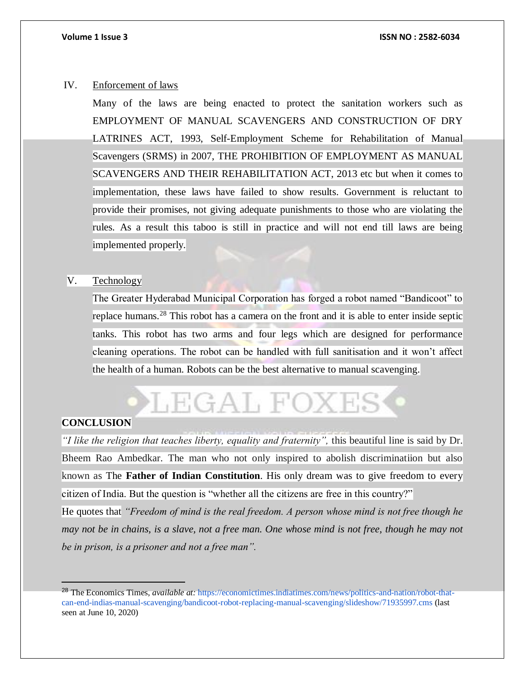## IV. Enforcement of laws

Many of the laws are being enacted to protect the sanitation workers such as EMPLOYMENT OF MANUAL SCAVENGERS AND CONSTRUCTION OF DRY LATRINES ACT, 1993, Self-Employment Scheme for Rehabilitation of Manual Scavengers (SRMS) in 2007, THE PROHIBITION OF EMPLOYMENT AS MANUAL SCAVENGERS AND THEIR REHABILITATION ACT, 2013 etc but when it comes to implementation, these laws have failed to show results. Government is reluctant to provide their promises, not giving adequate punishments to those who are violating the rules. As a result this taboo is still in practice and will not end till laws are being implemented properly.

# V. Technology

The Greater Hyderabad Municipal Corporation has forged a robot named "Bandicoot" to replace humans.<sup>28</sup> This robot has a camera on the front and it is able to enter inside septic tanks. This robot has two arms and four legs which are designed for performance cleaning operations. The robot can be handled with full sanitisation and it won't affect the health of a human. Robots can be the best alternative to manual scavenging.

# LEGAL FOXES

# **CONCLUSION**

 $\overline{a}$ 

*"I like the religion that teaches liberty, equality and fraternity",* this beautiful line is said by Dr. Bheem Rao Ambedkar. The man who not only inspired to abolish discriminatiion but also known as The **Father of Indian Constitution**. His only dream was to give freedom to every citizen of India. But the question is "whether all the citizens are free in this country?" He quotes that *"Freedom of mind is the real freedom. A person whose mind is not free though he may not be in chains, is a slave, not a free man. One whose mind is not free, though he may not be in prison, is a prisoner and not a free man".* 

<sup>28</sup> The Economics Times, *available at:* [https://economictimes.indiatimes.com/news/politics-and-nation/robot-that](https://economictimes.indiatimes.com/news/politics-and-nation/robot-that-can-end-indias-manual-scavenging/bandicoot-robot-replacing-manual-scavenging/slideshow/71935997.cms)[can-end-indias-manual-scavenging/bandicoot-robot-replacing-manual-scavenging/slideshow/71935997.cms](https://economictimes.indiatimes.com/news/politics-and-nation/robot-that-can-end-indias-manual-scavenging/bandicoot-robot-replacing-manual-scavenging/slideshow/71935997.cms) (last seen at June 10, 2020)